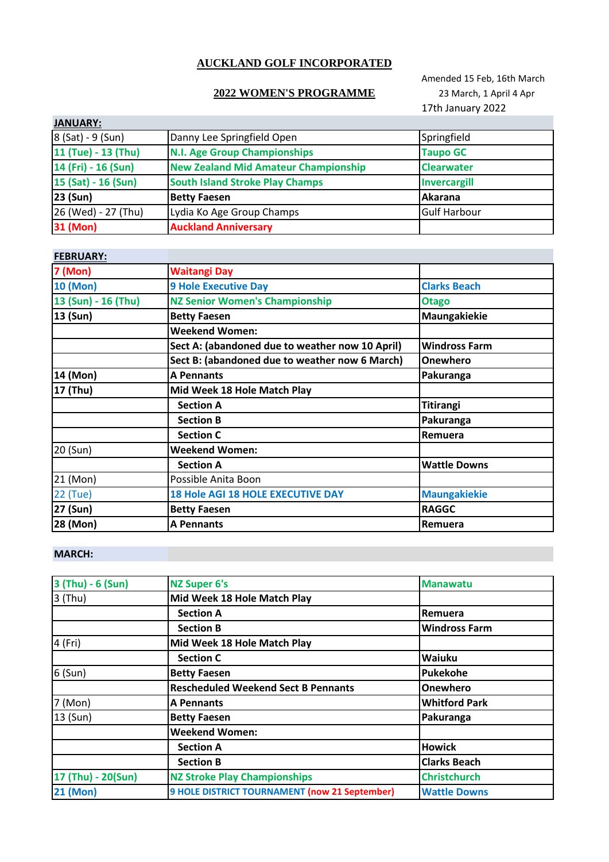# **AUCKLAND GOLF INCORPORATED**

### **2022 WOMEN'S PROGRAMME** 23 March, 1 April 4 Apr

Amended 15 Feb, 16th March 17th January 2022

| <b>JANUARY:</b>     |                                             |                     |
|---------------------|---------------------------------------------|---------------------|
| 8 (Sat) - 9 (Sun)   | Danny Lee Springfield Open                  | Springfield         |
| 11 (Tue) - 13 (Thu) | <b>N.I. Age Group Championships</b>         | <b>Taupo GC</b>     |
| 14 (Fri) - 16 (Sun) | <b>New Zealand Mid Amateur Championship</b> | <b>Clearwater</b>   |
| 15 (Sat) - 16 (Sun) | <b>South Island Stroke Play Champs</b>      | <b>Invercargill</b> |
| 23 (Sun)            | <b>Betty Faesen</b>                         | Akarana             |
| 26 (Wed) - 27 (Thu) | Lydia Ko Age Group Champs                   | <b>Gulf Harbour</b> |
| 31 (Mon)            | <b>Auckland Anniversary</b>                 |                     |

# **FEBRUARY:**

| <b>LDIVORILI</b>    |                                                 |                      |
|---------------------|-------------------------------------------------|----------------------|
| <b>7 (Mon)</b>      | <b>Waitangi Day</b>                             |                      |
| <b>10 (Mon)</b>     | <b>9 Hole Executive Day</b>                     | <b>Clarks Beach</b>  |
| 13 (Sun) - 16 (Thu) | <b>NZ Senior Women's Championship</b>           | <b>Otago</b>         |
| 13 (Sun)            | <b>Betty Faesen</b>                             | Maungakiekie         |
|                     | <b>Weekend Women:</b>                           |                      |
|                     | Sect A: (abandoned due to weather now 10 April) | <b>Windross Farm</b> |
|                     | Sect B: (abandoned due to weather now 6 March)  | <b>Onewhero</b>      |
| 14 (Mon)            | <b>A Pennants</b>                               | Pakuranga            |
| 17 (Thu)            | Mid Week 18 Hole Match Play                     |                      |
|                     | <b>Section A</b>                                | Titirangi            |
|                     | <b>Section B</b>                                | Pakuranga            |
|                     | <b>Section C</b>                                | Remuera              |
| 20 (Sun)            | <b>Weekend Women:</b>                           |                      |
|                     | <b>Section A</b>                                | <b>Wattle Downs</b>  |
| 21 (Mon)            | Possible Anita Boon                             |                      |
| 22 (Tue)            | <b>18 Hole AGI 18 HOLE EXECUTIVE DAY</b>        | <b>Maungakiekie</b>  |
| 27 (Sun)            | <b>Betty Faesen</b>                             | <b>RAGGC</b>         |
| 28 (Mon)            | <b>A Pennants</b>                               | Remuera              |

### **MARCH:**

| 3 (Thu) - 6 (Sun)  | <b>NZ Super 6's</b>                           | <b>Manawatu</b>      |
|--------------------|-----------------------------------------------|----------------------|
| $3$ (Thu)          | Mid Week 18 Hole Match Play                   |                      |
|                    | <b>Section A</b>                              | Remuera              |
|                    | <b>Section B</b>                              | <b>Windross Farm</b> |
| 4 (Fri)            | Mid Week 18 Hole Match Play                   |                      |
|                    | <b>Section C</b>                              | <b>Waiuku</b>        |
| $6$ (Sun)          | <b>Betty Faesen</b>                           | Pukekohe             |
|                    | <b>Rescheduled Weekend Sect B Pennants</b>    | <b>Onewhero</b>      |
| 7 (Mon)            | <b>A Pennants</b>                             | <b>Whitford Park</b> |
| 13 (Sun)           | <b>Betty Faesen</b>                           | Pakuranga            |
|                    | <b>Weekend Women:</b>                         |                      |
|                    | <b>Section A</b>                              | <b>Howick</b>        |
|                    | <b>Section B</b>                              | <b>Clarks Beach</b>  |
| 17 (Thu) - 20(Sun) | <b>NZ Stroke Play Championships</b>           | <b>Christchurch</b>  |
| <b>21 (Mon)</b>    | 9 HOLE DISTRICT TOURNAMENT (now 21 September) | <b>Wattle Downs</b>  |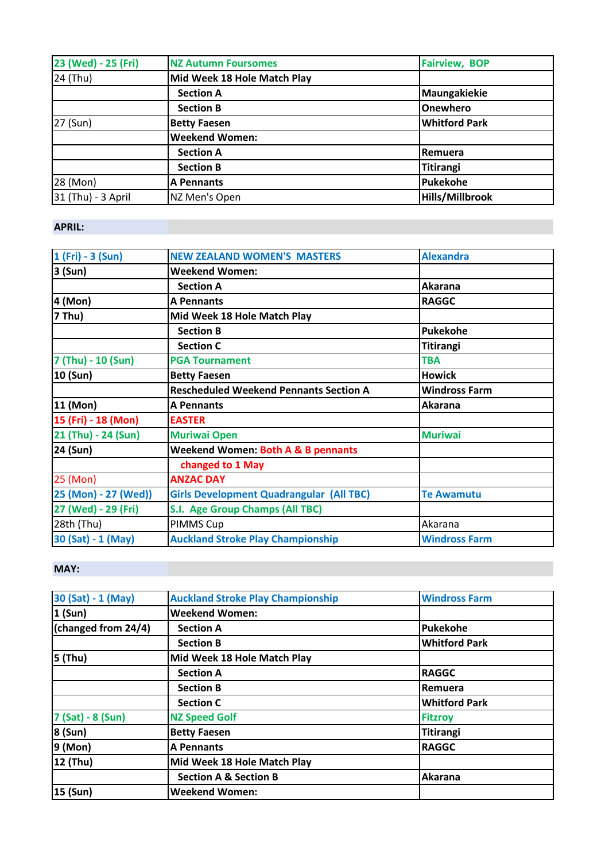| 23 (Wed) - 25 (Fri) | <b>NZ Autumn Foursomes</b>  | <b>Fairview, BOP</b>   |
|---------------------|-----------------------------|------------------------|
| 24 (Thu)            | Mid Week 18 Hole Match Play |                        |
|                     | <b>Section A</b>            | Maungakiekie           |
|                     | <b>Section B</b>            | <b>Onewhero</b>        |
| 27 (Sun)            | <b>Betty Faesen</b>         | <b>Whitford Park</b>   |
|                     | <b>Weekend Women:</b>       |                        |
|                     | <b>Section A</b>            | Remuera                |
|                     | <b>Section B</b>            | Titirangi              |
| 28 (Mon)            | <b>A Pennants</b>           | Pukekohe               |
| 31 (Thu) - 3 April  | NZ Men's Open               | <b>Hills/Millbrook</b> |

### **APRIL:**

| 1 (Fri) - 3 (Sun)    | <b>NEW ZEALAND WOMEN'S MASTERS</b>              | <b>Alexandra</b>     |
|----------------------|-------------------------------------------------|----------------------|
| 3 (Sun)              | Weekend Women:                                  |                      |
|                      | <b>Section A</b>                                | Akarana              |
| 4 (Mon)              | <b>A Pennants</b>                               | <b>RAGGC</b>         |
| 7 Thu)               | Mid Week 18 Hole Match Play                     |                      |
|                      | <b>Section B</b>                                | <b>Pukekohe</b>      |
|                      | <b>Section C</b>                                | Titirangi            |
| 7 (Thu) - 10 (Sun)   | <b>PGA Tournament</b>                           | <b>TBA</b>           |
| 10 (Sun)             | <b>Betty Faesen</b>                             | <b>Howick</b>        |
|                      | <b>Rescheduled Weekend Pennants Section A</b>   | <b>Windross Farm</b> |
| 11 (Mon)             | <b>A Pennants</b>                               | <b>Akarana</b>       |
| 15 (Fri) - 18 (Mon)  | <b>EASTER</b>                                   |                      |
| 21 (Thu) - 24 (Sun)  | <b>Muriwai Open</b>                             | <b>Muriwai</b>       |
| 24 (Sun)             | <b>Weekend Women: Both A &amp; B pennants</b>   |                      |
|                      | changed to 1 May                                |                      |
| 25 (Mon)             | <b>ANZAC DAY</b>                                |                      |
| 25 (Mon) - 27 (Wed)) | <b>Girls Development Quadrangular (All TBC)</b> | <b>Te Awamutu</b>    |
| 27 (Wed) - 29 (Fri)  | S.I. Age Group Champs (All TBC)                 |                      |
| 28th (Thu)           | PIMMS Cup                                       | Akarana              |
| 30 (Sat) - 1 (May)   | <b>Auckland Stroke Play Championship</b>        | <b>Windross Farm</b> |

# **MAY:**

| 30 (Sat) - 1 (May)  | <b>Auckland Stroke Play Championship</b> | <b>Windross Farm</b> |
|---------------------|------------------------------------------|----------------------|
| 1 (Sun)             | <b>Weekend Women:</b>                    |                      |
| (changed from 24/4) | <b>Section A</b>                         | Pukekohe             |
|                     | <b>Section B</b>                         | <b>Whitford Park</b> |
| $5$ (Thu)           | Mid Week 18 Hole Match Play              |                      |
|                     | <b>Section A</b>                         | <b>RAGGC</b>         |
|                     | <b>Section B</b>                         | Remuera              |
|                     | <b>Section C</b>                         | <b>Whitford Park</b> |
| 7 (Sat) - 8 (Sun)   | <b>NZ Speed Golf</b>                     | <b>Fitzroy</b>       |
| 8 (Sun)             | <b>Betty Faesen</b>                      | Titirangi            |
| 9 (Mon)             | <b>A Pennants</b>                        | <b>RAGGC</b>         |
| 12 (Thu)            | Mid Week 18 Hole Match Play              |                      |
|                     | <b>Section A &amp; Section B</b>         | Akarana              |
| 15 (Sun)            | <b>Weekend Women:</b>                    |                      |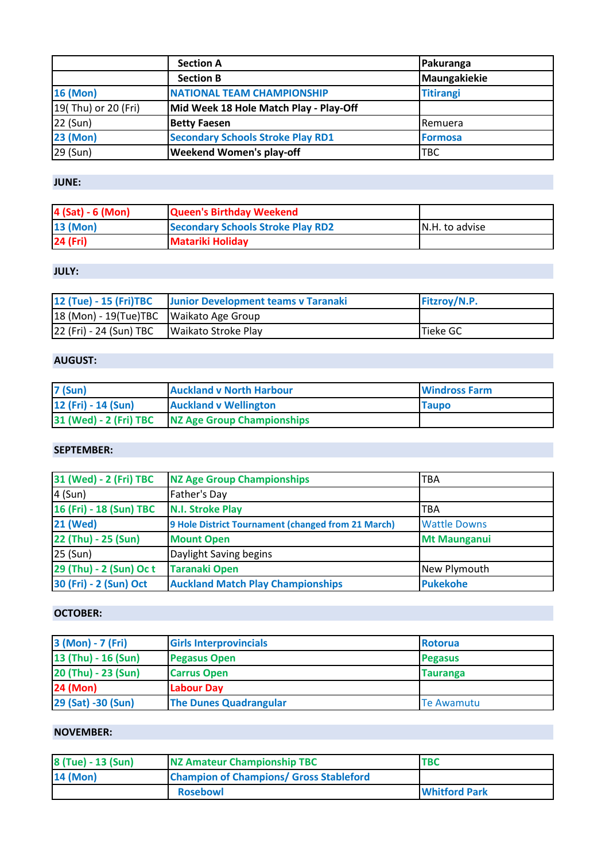|                     | <b>Section A</b>                         | Pakuranga        |
|---------------------|------------------------------------------|------------------|
|                     | <b>Section B</b>                         | Maungakiekie     |
| <b>16 (Mon)</b>     | <b>NATIONAL TEAM CHAMPIONSHIP</b>        | <b>Titirangi</b> |
| 19(Thu) or 20 (Fri) | Mid Week 18 Hole Match Play - Play-Off   |                  |
| 22 (Sun)            | <b>Betty Faesen</b>                      | Remuera          |
| <b>23 (Mon)</b>     | <b>Secondary Schools Stroke Play RD1</b> | <b>Formosa</b>   |
| 29 (Sun)            | <b>Weekend Women's play-off</b>          | <b>TBC</b>       |

# **JUNE:**

| 4 (Sat) - 6 (Mon) | <b>Queen's Birthday Weekend</b>          |                 |
|-------------------|------------------------------------------|-----------------|
| <b>13 (Mon)</b>   | <b>Secondary Schools Stroke Play RD2</b> | IN.H. to advise |
| 24 (Fri)          | <b>Matariki Holiday</b>                  |                 |

# **JULY:**

|                                             | 12 (Tue) - 15 (Fri)TBC Junior Development teams v Taranaki | <b>Fitzroy/N.P.</b> |
|---------------------------------------------|------------------------------------------------------------|---------------------|
| 18 (Mon) - 19 (Tue) TBC   Waikato Age Group |                                                            |                     |
| 22 (Fri) - 24 (Sun) TBC                     | Waikato Stroke Play                                        | Tieke GC            |

## **AUGUST:**

| <b>7 (Sun)</b>         | <b>Auckland v North Harbour</b> | <b>Windross Farm</b> |
|------------------------|---------------------------------|----------------------|
| 12 (Fri) - 14 (Sun)    | <b>Auckland v Wellington</b>    | <b>Taupo</b>         |
| 31 (Wed) - 2 (Fri) TBC | NZ Age Group Championships      |                      |

### **SEPTEMBER:**

| 31 (Wed) - 2 (Fri) TBC  | <b>NZ Age Group Championships</b>                  | <b>TBA</b>          |
|-------------------------|----------------------------------------------------|---------------------|
| 4 (Sun)                 | Father's Day                                       |                     |
| 16 (Fri) - 18 (Sun) TBC | <b>N.I. Stroke Play</b>                            | <b>TBA</b>          |
| <b>21 (Wed)</b>         | 9 Hole District Tournament (changed from 21 March) | <b>Wattle Downs</b> |
| 22 (Thu) - 25 (Sun)     | <b>Mount Open</b>                                  | <b>Mt Maunganui</b> |
| 25 (Sun)                | Daylight Saving begins                             |                     |
| 29 (Thu) - 2 (Sun) Oc t | <b>Taranaki Open</b>                               | New Plymouth        |
| 30 (Fri) - 2 (Sun) Oct  | <b>Auckland Match Play Championships</b>           | <b>Pukekohe</b>     |

## **OCTOBER:**

| 3 (Mon) - 7 (Fri)   | <b>Girls Interprovincials</b> | <b>Rotorua</b>    |
|---------------------|-------------------------------|-------------------|
| 13 (Thu) - 16 (Sun) | <b>Pegasus Open</b>           | <b>Pegasus</b>    |
| 20 (Thu) - 23 (Sun) | <b>Carrus Open</b>            | <b>Tauranga</b>   |
| <b>24 (Mon)</b>     | <b>Labour Day</b>             |                   |
| 29 (Sat) -30 (Sun)  | <b>The Dunes Quadrangular</b> | <b>Te Awamutu</b> |

## **NOVEMBER:**

| 8 (Tue) - 13 (Sun) | <b>NZ Amateur Championship TBC</b>             | <b>TBC</b>           |
|--------------------|------------------------------------------------|----------------------|
| 14 (Mon)           | <b>Champion of Champions/ Gross Stableford</b> |                      |
|                    | <b>Rosebowl</b>                                | <b>Whitford Park</b> |